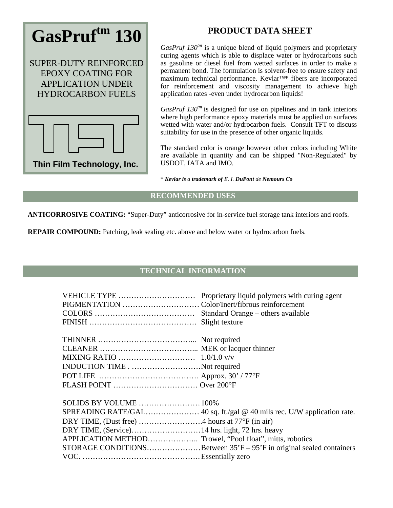

## **PRODUCT DATA SHEET**

*GasPruf 130<sup>tm</sup>* is a unique blend of liquid polymers and proprietary curing agents which is able to displace water or hydrocarbons such as gasoline or diesel fuel from wetted surfaces in order to make a permanent bond. The formulation is solvent-free to ensure safety and maximum technical performance. Kevlar™\* fibers are incorporated for reinforcement and viscosity management to achieve high application rates -even under hydrocarbon liquids!

*GasPruf 130<sup>tm</sup>* is designed for use on pipelines and in tank interiors where high performance epoxy materials must be applied on surfaces wetted with water and/or hydrocarbon fuels. Consult TFT to discuss suitability for use in the presence of other organic liquids.

The standard color is orange however other colors including White are available in quantity and can be shipped "Non-Regulated" by USDOT, IATA and IMO.

\* *Kevlar is a trademark of E. I. DuPont de Nemours Co*

## **RECOMMENDED USES**

**ANTICORROSIVE COATING:** "Super-Duty" anticorrosive for in-service fuel storage tank interiors and roofs.

**REPAIR COMPOUND:** Patching, leak sealing etc. above and below water or hydrocarbon fuels.

## **TECHNICAL INFORMATION**

| VEHICLE TYPE                                             | Proprietary liquid polymers with curing agent                       |
|----------------------------------------------------------|---------------------------------------------------------------------|
|                                                          |                                                                     |
|                                                          | Standard Orange – others available                                  |
|                                                          |                                                                     |
|                                                          |                                                                     |
|                                                          |                                                                     |
|                                                          |                                                                     |
| INDUCTION TIMENot required                               |                                                                     |
|                                                          |                                                                     |
|                                                          |                                                                     |
| SOLIDS BY VOLUME  100%                                   |                                                                     |
|                                                          |                                                                     |
|                                                          |                                                                     |
|                                                          |                                                                     |
| APPLICATION METHOD Trowel, "Pool float", mitts, robotics |                                                                     |
|                                                          | STORAGE CONDITIONSBetween 35'F – 95'F in original sealed containers |
|                                                          |                                                                     |
|                                                          |                                                                     |